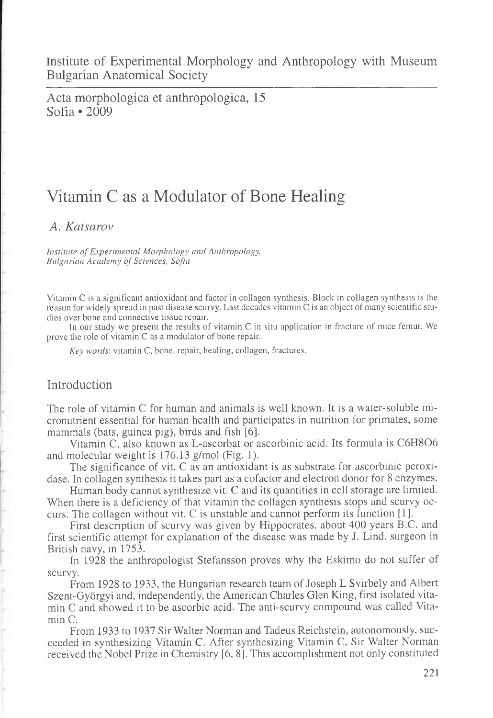Institute of Experimental Morphology and Anthropology with Museum Bulgarian Anatomical Society

Acta morphologica et anthropologica, 15 Sofia • 2009

# Vitamin C as a Modulator of Bone Healing

#### *A. Katsarov*

*Institute of Experimental Morphology and Anthropology, Bulgarian Academy of Sciences, Sofia*

Vitamin C is a significant antioxidant and factor in collagen synthesis. Block in collagen synthesis is the reason for widely spread in past disease scurvy. Last decades vitamin C is an object of many scientific studies over bone and connective tissue repair.

In our study we present the results of vitamin C in situ application in fracture of mice femur. We prove the role of vitamin C as a modulator of bone repair.

*Key words',* vitamin C, bone, repair, healing, collagen, fractures.

# Introduction

The role of vitamin C for human and animals is well known. It is a water-soluble micronutrient essential for human health and participates in nutrition for primates, some mammals (bats, guinea pig), birds and fish [6].

Vitamin C, also known as L-ascorbat or ascorbinic acid. Its formula is C6H806 and molecular weight is 176.13 g/mol (Fig. 1).

The significance of vit. C as an antioxidant is as substrate for ascorbinic peroxidase. In collagen synthesis it takes part as a cofactor and electron donor for 8 enzymes.

Human body cannot synthesize vit. C and its quantities in cell storage are limited. When there is a deficiency of that vitamin the collagen synthesis stops and scurvy occurs. The collagen without vit. C is unstable and cannot perform its function [1].

First description of scurvy was given by Hippocrates, about 400 years B.C. and first scientific attempt for explanation of the disease was made by J. Lind, surgeon in British navy, in 1753.

In 1928 the anthropologist Stefansson proves why the Eskimo do not suffer of scurvy.

From 1928 to 1933, the Hungarian research team of Joseph L Svirbely and Albert Szent-Györgyi and, independently, the American Charles Glen King, first isolated vitamin C and showed it to be ascorbic acid. The anti-scurvy compound was called Vitamin C.

From 1933 to 1937 Sir Walter Norman and Tadeus Reichstein, autonomously, succeeded in synthesizing Vitamin C. After synthesizing Vitamin C, Sir Walter Norman received the Nobel Prize in Chemistry [6, 8]. This accomplishment not only constituted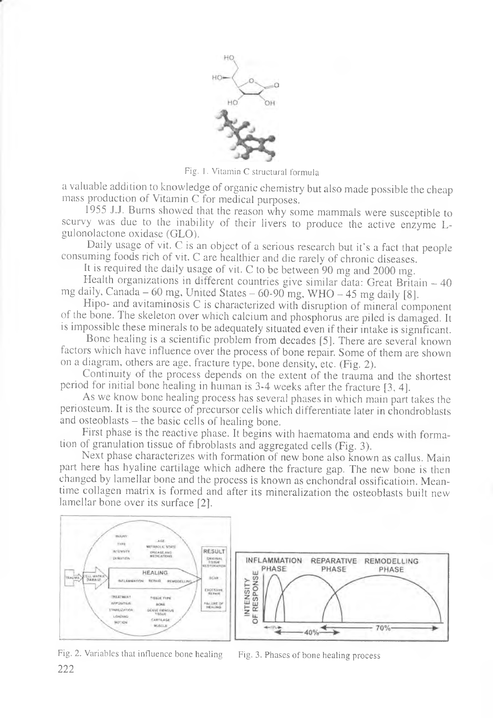

Fig. 1. Vitamin C structural formula

a valuable addition to knowledge of organic chemistry but also made possible the cheap mass production of Vitamin C for medical purposes.

1955 J.J. Burns showed that the reason why some mammals were susceptible to scurvy was due to the inability of their livers to produce the active enzyme Lgulonolactone oxidase (GLO).

Daily usage of vit. C is an object of a serious research but it's a fact that people consuming foods rich of vit. C are healthier and die rarely of chronic diseases.

It is required the daily usage of vit. C to be between 90 mg and 2000 mg.

Health organizations in different countries give similar data: Great Britain – 40 mg daily, Canada – 60 mg, United States – 60-90 mg, WHO – 45 mg daily [8].

Hipo- and avitaminosis C is characterized with disruption of mineral component of the bone. The skeleton over which calcium and phosphorus are piled is damaged. It is impossible these minerals to be adequately situated even if their intake is significant.

Bone healing is a scientific problem from decades [5]. There are several known factors which have influence over the process of bone repair. Some of them are shown on a diagram, others are age, fracture type, bone density, etc. (Fig. 2).

Continuity of the process depends on the extent of the trauma and the shortest period for initial bone healing in human is 3-4 weeks after the fracture [3, 4].

As we know bone healing process has several phases in which main part takes the periosteum. It is the source of precursor cells which differentiate later in chondroblasts and osteoblasts — the basic cells of healing bone.

First phase is the reactive phase. It begins with haematoma and ends with formation of granulation tissue of fibroblasts and aggregated cells (Fig. 3).

Next phase characterizes with formation of new bone also known as callus. Main part here has hyaline cartilage which adhere the fracture gap. The new bone is then changed by lamellar bone and the process is known as enchondral ossificatioin. Meantime collagen matrix is formed and after its mineralization the osteoblasts built new lamellar bone over its surface [2].



Fig. 2. Variables that influence bone healing

Fig. 3. Phases of bone healing process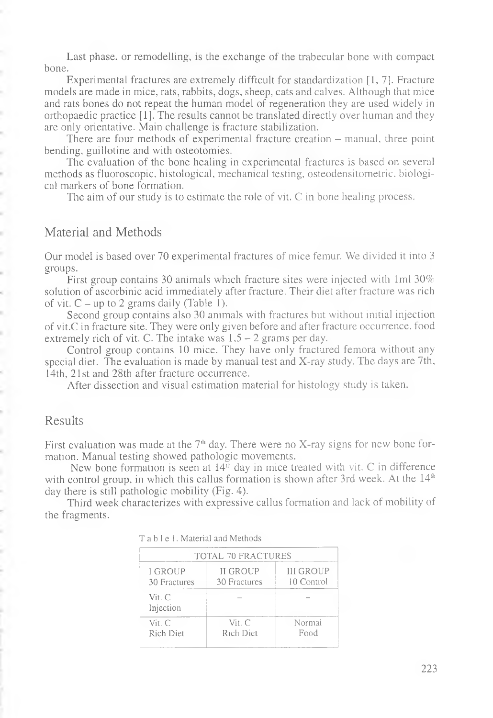Last phase, or remodelling, is the exchange of the trabecular bone with compact bone.

Experimental fractures are extremely difficult for standardization [1, 7]. Fracture models are made in mice, rats, rabbits, dogs, sheep, cats and calves. Although that mice and rats bones do not repeat the human model of regeneration they are used widely in orthopaedic practice [1]. The results cannot be translated directly over human and they are only orientative. Main challenge is fracture stabilization.

There are four methods of experimental fracture creation – manual, three point bending, guillotine and with osteotomies.

The evaluation of the bone healing in experimental fractures is based on several methods as fluoroscopic, histological, mechanical testing, osteodensitometric. biological markers of bone formation.

The aim of our study is to estimate the role of vit. C in bone healing process.

#### Material and Methods

Our model is based over 70 experimental fractures of mice femur. We divided it into 3 groups.

First group contains 30 animals which fracture sites were injected with 1ml 30% solution of ascorbinic acid immediately after fracture. Their diet after fracture was rich of vit.  $C - up$  to 2 grams daily (Table 1).

Second group contains also 30 animals with fractures but without initial injection of vit.C in fracture site. They were only given before and after fracture occurrence, food extremely rich of vit. C. The intake was  $1.5 - 2$  grams per day.

Control group contains 10 mice. They have only fractured femora without any special diet. The evaluation is made by manual test and X-ray study. The days are 7th, 14th, 21st and 28th after fracture occurrence.

After dissection and visual estimation material for histology study is taken.

## Results

ł, í. è ú,

ł ř.

ć,

First evaluation was made at the  $7<sup>th</sup>$  day. There were no X-ray signs for new bone formation. Manual testing showed pathologic movements.

New bone formation is seen at  $14<sup>th</sup>$  day in mice treated with vit. C in difference with control group, in which this callus formation is shown after 3rd week. At the  $14<sup>th</sup>$ day there is still pathologic mobility (Fig. 4).

Third week characterizes with expressive callus formation and lack of mobility of the fragments.

| <b>TOTAL 70 FRACTURES</b>      |                                 |                         |  |  |  |  |  |  |
|--------------------------------|---------------------------------|-------------------------|--|--|--|--|--|--|
| <b>I GROUP</b><br>30 Fractures | <b>II GROUP</b><br>30 Fractures | III GROUP<br>10 Control |  |  |  |  |  |  |
| Vit. C<br>Injection            |                                 |                         |  |  |  |  |  |  |
| Vir C<br>Rich Diet             | Vit. C<br>Rich Diet             | Normal<br>Food          |  |  |  |  |  |  |

|  |  |  |  |  |  |  |  |  | T a b l e 1. Material and Methods |
|--|--|--|--|--|--|--|--|--|-----------------------------------|
|--|--|--|--|--|--|--|--|--|-----------------------------------|